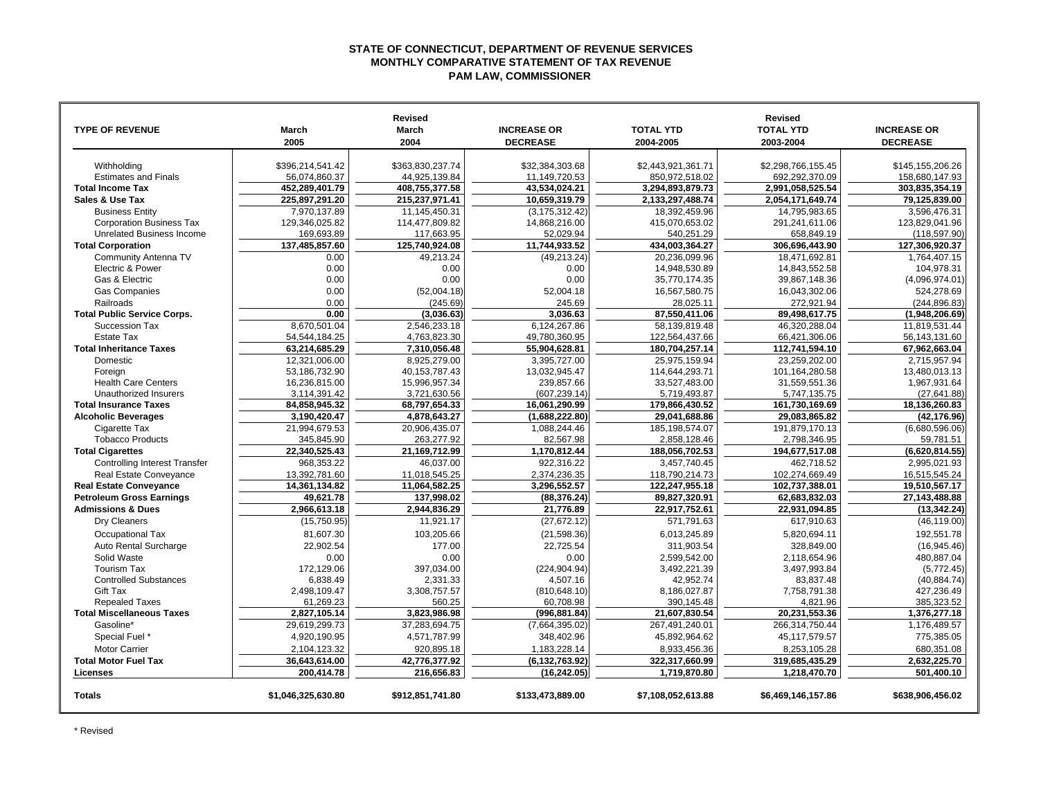## **STATE OF CONNECTICUT, DEPARTMENT OF REVENUE SERVICES MONTHLY COMPARATIVE STATEMENT OF TAX REVENUE PAM LAW, COMMISSIONER**

|                                      |                    | <b>Revised</b>   |                    |                    | <b>Revised</b>     |                    |
|--------------------------------------|--------------------|------------------|--------------------|--------------------|--------------------|--------------------|
| <b>TYPE OF REVENUE</b>               | <b>March</b>       | March            | <b>INCREASE OR</b> | <b>TOTAL YTD</b>   | <b>TOTAL YTD</b>   | <b>INCREASE OR</b> |
|                                      | 2005               | 2004             | <b>DECREASE</b>    | 2004-2005          | 2003-2004          | <b>DECREASE</b>    |
|                                      |                    |                  |                    |                    |                    |                    |
| Withholding                          | \$396,214,541.42   | \$363,830,237.74 | \$32,384,303.68    | \$2,443,921,361.71 | \$2,298,766,155.45 | \$145,155,206.26   |
| <b>Estimates and Finals</b>          | 56,074,860.37      | 44,925,139.84    | 11,149,720.53      | 850,972,518.02     | 692,292,370.09     | 158,680,147.93     |
| <b>Total Income Tax</b>              | 452,289,401.79     | 408,755,377.58   | 43,534,024.21      | 3,294,893,879.73   | 2,991,058,525.54   | 303,835,354.19     |
| Sales & Use Tax                      | 225.897.291.20     | 215.237.971.41   | 10.659.319.79      | 2.133.297.488.74   | 2.054.171.649.74   | 79.125.839.00      |
| <b>Business Entity</b>               | 7,970,137.89       | 11,145,450.31    | (3, 175, 312.42)   | 18,392,459.96      | 14,795,983.65      | 3,596,476.31       |
| <b>Corporation Business Tax</b>      | 129,346,025.82     | 114,477,809.82   | 14,868,216.00      | 415,070,653.02     | 291,241,611.06     | 123.829.041.96     |
| Unrelated Business Income            | 169,693.89         | 117,663.95       | 52,029.94          | 540,251.29         | 658,849.19         | (118, 597.90)      |
| <b>Total Corporation</b>             | 137,485,857.60     | 125,740,924.08   | 11,744,933.52      | 434,003,364.27     | 306,696,443.90     | 127,306,920.37     |
| Community Antenna TV                 | 0.00               | 49.213.24        | (49, 213.24)       | 20.236.099.96      | 18.471.692.81      | 1.764.407.15       |
| Electric & Power                     | 0.00               | 0.00             | 0.00               | 14,948,530.89      | 14,843,552.58      | 104,978.31         |
| Gas & Electric                       | 0.00               | 0.00             | 0.00               | 35,770,174.35      | 39,867,148.36      | (4,096,974.01)     |
| <b>Gas Companies</b>                 | 0.00               | (52,004.18)      | 52,004.18          | 16,567,580.75      | 16,043,302.06      | 524,278.69         |
| Railroads                            | 0.00               | (245.69)         | 245.69             | 28,025.11          | 272,921.94         | (244, 896.83)      |
| <b>Total Public Service Corps.</b>   | 0.00               | (3,036.63)       | 3,036.63           | 87,550,411.06      | 89,498,617.75      | (1,948,206.69)     |
| Succession Tax                       | 8.670.501.04       | 2.546.233.18     | 6,124,267.86       | 58.139.819.48      | 46.320.288.04      | 11.819.531.44      |
| <b>Estate Tax</b>                    | 54,544,184.25      | 4,763,823.30     | 49,780,360.95      | 122,564,437.66     | 66,421,306.06      | 56,143,131.60      |
| <b>Total Inheritance Taxes</b>       | 63,214,685.29      | 7,310,056.48     | 55,904,628.81      | 180,704,257.14     | 112,741,594.10     | 67,962,663.04      |
| Domestic                             | 12,321,006.00      | 8,925,279.00     | 3,395,727.00       | 25,975,159.94      | 23,259,202.00      | 2,715,957.94       |
| Foreign                              | 53,186,732.90      | 40, 153, 787. 43 | 13,032,945.47      | 114,644,293.71     | 101,164,280.58     | 13,480,013.13      |
| <b>Health Care Centers</b>           | 16,236,815.00      | 15,996,957.34    | 239,857.66         | 33,527,483.00      | 31,559,551.36      | 1,967,931.64       |
| Unauthorized Insurers                | 3,114,391.42       | 3,721,630.56     | (607, 239.14)      | 5,719,493.87       | 5,747,135.75       | (27, 641.88)       |
| <b>Total Insurance Taxes</b>         | 84,858,945.32      | 68,797,654.33    | 16,061,290.99      | 179,866,430.52     | 161,730,169.69     | 18,136,260.83      |
| <b>Alcoholic Beverages</b>           | 3,190,420.47       | 4,878,643.27     | (1,688,222.80)     | 29,041,688.86      | 29,083,865.82      | (42, 176.96)       |
| Cigarette Tax                        | 21,994,679.53      | 20.906.435.07    | 1,088,244.46       | 185.198.574.07     | 191.879.170.13     | (6,680,596.06)     |
| <b>Tobacco Products</b>              | 345,845.90         | 263,277.92       | 82,567.98          | 2,858,128.46       | 2,798,346.95       | 59,781.51          |
| <b>Total Cigarettes</b>              | 22,340,525.43      | 21,169,712.99    | 1,170,812.44       | 188,056,702.53     | 194,677,517.08     | (6,620,814.55)     |
| <b>Controlling Interest Transfer</b> | 968.353.22         | 46.037.00        | 922,316.22         | 3.457.740.45       | 462.718.52         | 2.995.021.93       |
| Real Estate Conveyance               | 13,392,781.60      | 11,018,545.25    | 2,374,236.35       | 118,790,214.73     | 102,274,669.49     | 16,515,545.24      |
| <b>Real Estate Conveyance</b>        | 14,361,134.82      | 11,064,582.25    | 3,296,552.57       | 122,247,955.18     | 102,737,388.01     | 19,510,567.17      |
| <b>Petroleum Gross Earnings</b>      | 49,621.78          | 137,998.02       | (88, 376.24)       | 89,827,320.91      | 62,683,832.03      | 27,143,488.88      |
| <b>Admissions &amp; Dues</b>         | 2,966,613.18       | 2,944,836.29     | 21.776.89          | 22,917,752.61      | 22.931.094.85      | (13, 342.24)       |
| Dry Cleaners                         | (15,750.95)        | 11,921.17        | (27, 672.12)       | 571,791.63         | 617,910.63         | (46, 119.00)       |
| Occupational Tax                     | 81.607.30          | 103.205.66       | (21, 598.36)       | 6.013.245.89       | 5.820.694.11       | 192.551.78         |
| Auto Rental Surcharge                | 22.902.54          | 177.00           | 22,725.54          | 311.903.54         | 328.849.00         | (16,945.46)        |
| Solid Waste                          | 0.00               | 0.00             | 0.00               | 2,599,542.00       | 2,118,654.96       | 480,887.04         |
| <b>Tourism Tax</b>                   | 172,129.06         | 397,034.00       | (224, 904.94)      | 3,492,221.39       | 3,497,993.84       | (5,772.45)         |
| <b>Controlled Substances</b>         | 6,838.49           | 2,331.33         | 4,507.16           | 42,952.74          | 83,837.48          | (40, 884.74)       |
| Gift Tax                             | 2.498.109.47       | 3.308.757.57     | (810.648.10)       | 8.186.027.87       | 7.758.791.38       | 427.236.49         |
| <b>Repealed Taxes</b>                | 61,269.23          | 560.25           | 60,708.98          | 390,145.48         | 4,821.96           | 385,323.52         |
| <b>Total Miscellaneous Taxes</b>     | 2.827.105.14       | 3,823,986.98     | (996, 881.84)      | 21.607.830.54      | 20,231,553.36      | 1.376.277.18       |
| Gasoline*                            | 29,619,299.73      | 37,283,694.75    | (7,664,395.02)     | 267,491,240.01     | 266,314,750.44     | 1,176,489.57       |
| Special Fuel *                       | 4,920,190.95       | 4,571,787.99     | 348,402.96         | 45,892,964.62      | 45,117,579.57      | 775,385.05         |
| <b>Motor Carrier</b>                 | 2,104,123.32       | 920,895.18       | 1,183,228.14       | 8,933,456.36       | 8,253,105.28       | 680,351.08         |
| <b>Total Motor Fuel Tax</b>          | 36,643,614.00      | 42,776,377.92    | (6, 132, 763.92)   | 322,317,660.99     | 319,685,435.29     | 2,632,225.70       |
| Licenses                             | 200.414.78         | 216.656.83       | (16, 242.05)       | 1,719,870.80       | 1,218,470.70       | 501,400.10         |
| <b>Totals</b>                        | \$1,046,325,630.80 | \$912,851,741.80 | \$133,473,889.00   | \$7,108,052,613.88 | \$6,469,146,157.86 | \$638,906,456.02   |